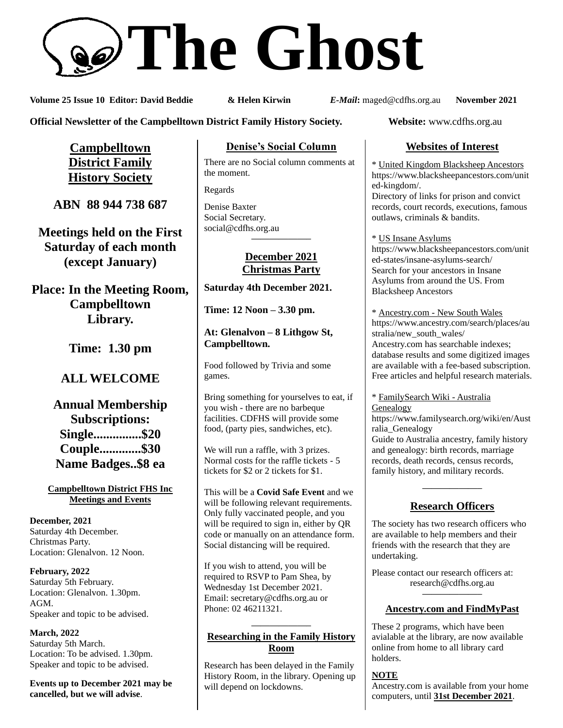# **The Ghost**

**Volume 25 Issue 10 Editor: David Beddie & Helen Kirwin** *E-Mail***:** maged@cdfhs.org.au **November 2021**

**Official Newsletter of the Campbelltown District Family History Society. Website:** www.cdfhs.org.au

**Campbelltown District Family History Society**

**ABN 88 944 738 687**

**Meetings held on the First Saturday of each month (except January)**

**Place: In the Meeting Room, Campbelltown Library.**

**Time: 1.30 pm**

# **ALL WELCOME**

**Annual Membership Subscriptions: Single...............\$20 Couple.............\$30 Name Badges..\$8 ea**

**Campbelltown District FHS Inc Meetings and Events**

**December, 2021** Saturday 4th December. Christmas Party. Location: Glenalvon. 12 Noon.

**February, 2022** Saturday 5th February. Location: Glenalvon. 1.30pm. AGM. Speaker and topic to be advised.

**March, 2022** Saturday 5th March. Location: To be advised. 1.30pm. Speaker and topic to be advised.

**Events up to December 2021 may be cancelled, but we will advise**.

### **Denise's Social Column**

There are no Social column comments at the moment.

Regards

Denise Baxter Social Secretary. [social@cdfhs.org.au](mailto:social@cdfhs.org.au) **——————–**

#### **December 2021 Christmas Party**

**Saturday 4th December 2021.**

**Time: 12 Noon – 3.30 pm.**

**At: Glenalvon – 8 Lithgow St, Campbelltown.**

Food followed by Trivia and some games.

Bring something for yourselves to eat, if you wish - there are no barbeque facilities. CDFHS will provide some food, (party pies, sandwiches, etc).

We will run a raffle, with 3 prizes. Normal costs for the raffle tickets - 5 tickets for \$2 or 2 tickets for \$1.

This will be a **Covid Safe Event** and we will be following relevant requirements. Only fully vaccinated people, and you will be required to sign in, either by QR code or manually on an attendance form. Social distancing will be required.

If you wish to attend, you will be required to RSVP to Pam Shea, by Wednesday 1st December 2021. Email: [secretary@cdfhs.org.au](mailto:secretary@cdfhs.org.au) or Phone: 02 46211321.

#### **——————– Researching in the Family History Room**

Research has been delayed in the Family History Room, in the library. Opening up will depend on lockdowns.

## **Websites of Interest**

\* United Kingdom Blacksheep Ancestors https://www.blacksheepancestors.com/unit ed-kingdom/.

Directory of links for prison and convict records, court records, executions, famous outlaws, criminals & bandits.

\* US Insane Asylums https://www.blacksheepancestors.com/unit ed-states/insane-asylums-search/ Search for your ancestors in Insane Asylums from around the US. From Blacksheep Ancestors

\* Ancestry.com - New South Wales https://www.ancestry.com/search/places/au stralia/new\_south\_wales/ Ancestry.com has searchable indexes; database results and some digitized images are available with a fee-based subscription. Free articles and helpful research materials.

\* FamilySearch Wiki - Australia Genealogy https://www.familysearch.org/wiki/en/Aust ralia\_Genealogy Guide to Australia ancestry, family history and genealogy: birth records, marriage records, death records, census records, family history, and military records.

## **——————– Research Officers**

The society has two research officers who are available to help members and their friends with the research that they are undertaking.

Please contact our research officers at: research@cdfhs.org.au **——————–**

#### **Ancestry.com and FindMyPast**

These 2 programs, which have been avialable at the library, are now available online from home to all library card holders.

#### **NOTE**

Ancestry.com is available from your home computers, until **31st December 2021**.